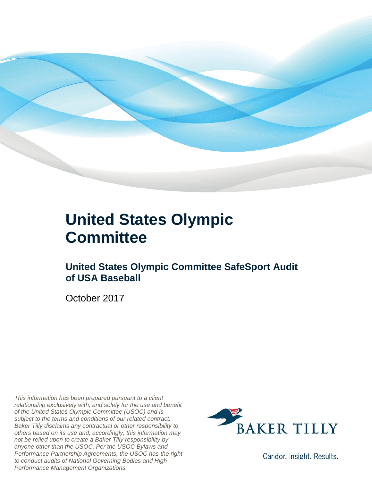

### **United States Olympic Committee**

### **United States Olympic Committee SafeSport Audit of USA Baseball**

October 2017

*This information has been prepared pursuant to a client relationship exclusively with, and solely for the use and benefit of the United States Olympic Committee (USOC) and is subject to the terms and conditions of our related contract. Baker Tilly disclaims any contractual or other responsibility to others based on its use and, accordingly, this information may not be relied upon to create a Baker Tilly responsibility by anyone other than the USOC. Per the USOC Bylaws and Performance Partnership Agreements, the USOC has the right to conduct audits of National Governing Bodies and High Performance Management Organizations.*



Candor. Insight. Results.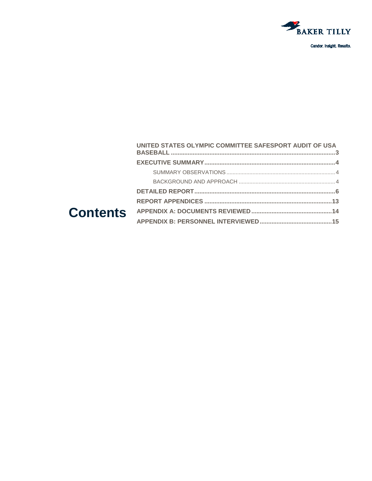

| UNITED STATES OLYMPIC COMMITTEE SAFESPORT AUDIT OF USA |  |
|--------------------------------------------------------|--|
|                                                        |  |
|                                                        |  |
|                                                        |  |
|                                                        |  |
|                                                        |  |
|                                                        |  |
|                                                        |  |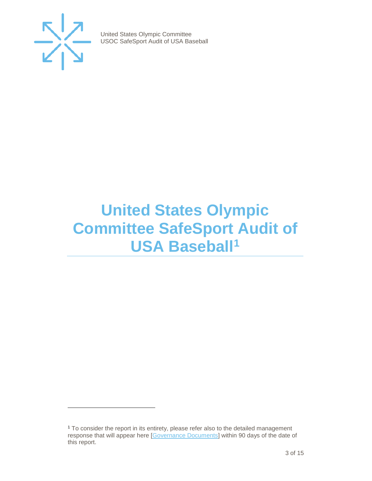

j

United States Olympic Committee USOC SafeSport Audit of USA Baseball

# <span id="page-2-0"></span>**United States Olympic Committee SafeSport Audit of USA Baseball[1](#page-2-1)**

<span id="page-2-1"></span><sup>1</sup> To consider the report in its entirety, please refer also to the detailed management response that will appear here [\[Governance Documents\]](https://www.teamusa.org/Footer/Legal/Governance-Documents) within 90 days of the date of this report.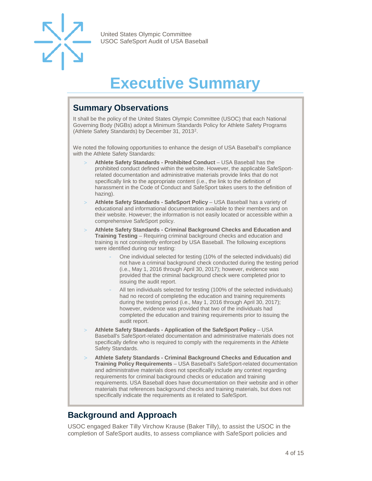

# **Executive Summary**

### <span id="page-3-1"></span><span id="page-3-0"></span>**Summary Observations**

It shall be the policy of the United States Olympic Committee (USOC) that each National Governing Body (NGBs) adopt a Minimum Standards Policy for Athlete Safety Programs (Athlete Safety Standards) by December 31, 2013[2](#page-3-4).

We noted the following opportunities to enhance the design of USA Baseball's compliance with the Athlete Safety Standards:

- > **Athlete Safety Standards - Prohibited Conduct**  USA Baseball has the prohibited conduct defined within the website. However, the applicable SafeSportrelated documentation and administrative materials provide links that do not specifically link to the appropriate content (i.e., the link to the definition of harassment in the Code of Conduct and SafeSport takes users to the definition of hazing).
- > **Athlete Safety Standards - SafeSport Policy**  USA Baseball has a variety of educational and informational documentation available to their members and on their website. However; the information is not easily located or accessible within a comprehensive SafeSport policy.
- > **Athlete Safety Standards - Criminal Background Checks and Education and Training Testing** – Requiring criminal background checks and education and training is not consistently enforced by USA Baseball. The following exceptions were identified during our testing:
	- One individual selected for testing (10% of the selected individuals) did not have a criminal background check conducted during the testing period (i.e., May 1, 2016 through April 30, 2017); however, evidence was provided that the criminal background check were completed prior to issuing the audit report.
	- All ten individuals selected for testing (100% of the selected individuals) had no record of completing the education and training requirements during the testing period (i.e., May 1, 2016 through April 30, 2017); however, evidence was provided that two of the individuals had completed the education and training requirements prior to issuing the audit report.
- <span id="page-3-4"></span>> **Athlete Safety Standards - Application of the SafeSport Policy** – USA Baseball's SafeSport-related documentation and administrative materials does not specifically define who is required to comply with the requirements in the Athlete Safety Standards.
- > **Athlete Safety Standards - Criminal Background Checks and Education and Training Policy Requirements** – USA Baseball's SafeSport-related documentation and administrative materials does not specifically include any context regarding requirements for criminal background checks or education and training requirements. USA Baseball does have documentation on their website and in other materials that references background checks and training materials, but does not specifically indicate the requirements as it related to SafeSport.

### <span id="page-3-2"></span>**Background and Approach**

<span id="page-3-3"></span>USOC engaged Baker Tilly Virchow Krause (Baker Tilly), to assist the USOC in the completion of SafeSport audits, to assess compliance with SafeSport policies and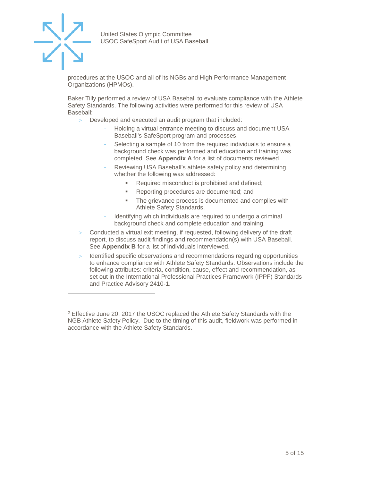

j

United States Olympic Committee USOC SafeSport Audit of USA Baseball

procedures at the USOC and all of its NGBs and High Performance Management Organizations (HPMOs).

Baker Tilly performed a review of USA Baseball to evaluate compliance with the Athlete Safety Standards. The following activities were performed for this review of USA Baseball:

- > Developed and executed an audit program that included:
	- Holding a virtual entrance meeting to discuss and document USA Baseball's SafeSport program and processes.
	- Selecting a sample of 10 from the required individuals to ensure a background check was performed and education and training was completed. See **Appendix A** for a list of documents reviewed.
	- Reviewing USA Baseball's athlete safety policy and determining whether the following was addressed:
		- Required misconduct is prohibited and defined;
		- **Reporting procedures are documented; and**
		- The grievance process is documented and complies with Athlete Safety Standards.
	- Identifying which individuals are required to undergo a criminal background check and complete education and training.
- Conducted a virtual exit meeting, if requested, following delivery of the draft report, to discuss audit findings and recommendation(s) with USA Baseball. See **Appendix B** for a list of individuals interviewed.
- > Identified specific observations and recommendations regarding opportunities to enhance compliance with Athlete Safety Standards. Observations include the following attributes: criteria, condition, cause, effect and recommendation, as set out in the International Professional Practices Framework (IPPF) Standards and Practice Advisory 2410-1.

<sup>&</sup>lt;sup>2</sup> Effective June 20, 2017 the USOC replaced the Athlete Safety Standards with the NGB Athlete Safety Policy. Due to the timing of this audit, fieldwork was performed in accordance with the Athlete Safety Standards.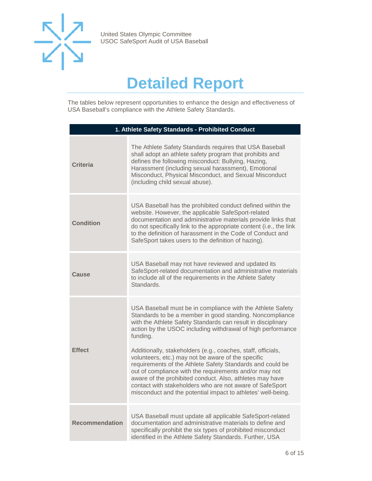

# **Detailed Report**

The tables below represent opportunities to enhance the design and effectiveness of USA Baseball's compliance with the Athlete Safety Standards.

| 1. Athlete Safety Standards - Prohibited Conduct |                                                                                                                                                                                                                                                                                                                                                                                                                                                                                                                                                                                                                                                                                                        |
|--------------------------------------------------|--------------------------------------------------------------------------------------------------------------------------------------------------------------------------------------------------------------------------------------------------------------------------------------------------------------------------------------------------------------------------------------------------------------------------------------------------------------------------------------------------------------------------------------------------------------------------------------------------------------------------------------------------------------------------------------------------------|
| <b>Criteria</b>                                  | The Athlete Safety Standards requires that USA Baseball<br>shall adopt an athlete safety program that prohibits and<br>defines the following misconduct: Bullying, Hazing,<br>Harassment (including sexual harassment), Emotional<br>Misconduct, Physical Misconduct, and Sexual Misconduct<br>(including child sexual abuse).                                                                                                                                                                                                                                                                                                                                                                         |
| <b>Condition</b>                                 | USA Baseball has the prohibited conduct defined within the<br>website. However, the applicable SafeSport-related<br>documentation and administrative materials provide links that<br>do not specifically link to the appropriate content (i.e., the link<br>to the definition of harassment in the Code of Conduct and<br>SafeSport takes users to the definition of hazing).                                                                                                                                                                                                                                                                                                                          |
| Cause                                            | USA Baseball may not have reviewed and updated its<br>SafeSport-related documentation and administrative materials<br>to include all of the requirements in the Athlete Safety<br>Standards.                                                                                                                                                                                                                                                                                                                                                                                                                                                                                                           |
| <b>Effect</b>                                    | USA Baseball must be in compliance with the Athlete Safety<br>Standards to be a member in good standing. Noncompliance<br>with the Athlete Safety Standards can result in disciplinary<br>action by the USOC including withdrawal of high performance<br>funding.<br>Additionally, stakeholders (e.g., coaches, staff, officials,<br>volunteers, etc.) may not be aware of the specific<br>requirements of the Athlete Safety Standards and could be<br>out of compliance with the requirements and/or may not<br>aware of the prohibited conduct. Also, athletes may have<br>contact with stakeholders who are not aware of SafeSport<br>misconduct and the potential impact to athletes' well-being. |
| <b>Recommendation</b>                            | USA Baseball must update all applicable SafeSport-related<br>documentation and administrative materials to define and<br>specifically prohibit the six types of prohibited misconduct<br>identified in the Athlete Safety Standards. Further, USA                                                                                                                                                                                                                                                                                                                                                                                                                                                      |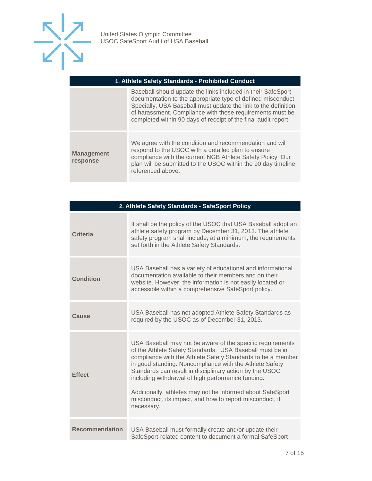

#### **1. Athlete Safety Standards - Prohibited Conduct**

|                               | Baseball should update the links included in their SafeSport<br>documentation to the appropriate type of defined misconduct.<br>Specially, USA Baseball must update the link to the definition<br>of harassment. Compliance with these requirements must be<br>completed within 90 days of receipt of the final audit report. |
|-------------------------------|-------------------------------------------------------------------------------------------------------------------------------------------------------------------------------------------------------------------------------------------------------------------------------------------------------------------------------|
| <b>Management</b><br>response | We agree with the condition and recommendation and will<br>respond to the USOC with a detailed plan to ensure<br>compliance with the current NGB Athlete Safety Policy. Our<br>plan will be submitted to the USOC within the 90 day timeline<br>referenced above.                                                             |

| 2. Athlete Safety Standards - SafeSport Policy |                                                                                                                                                                                                                                                                                                                                                                                                                                                                                                          |
|------------------------------------------------|----------------------------------------------------------------------------------------------------------------------------------------------------------------------------------------------------------------------------------------------------------------------------------------------------------------------------------------------------------------------------------------------------------------------------------------------------------------------------------------------------------|
| <b>Criteria</b>                                | It shall be the policy of the USOC that USA Baseball adopt an<br>athlete safety program by December 31, 2013. The athlete<br>safety program shall include, at a minimum, the requirements<br>set forth in the Athlete Safety Standards.                                                                                                                                                                                                                                                                  |
| <b>Condition</b>                               | USA Baseball has a variety of educational and informational<br>documentation available to their members and on their<br>website. However; the information is not easily located or<br>accessible within a comprehensive SafeSport policy.                                                                                                                                                                                                                                                                |
| Cause                                          | USA Baseball has not adopted Athlete Safety Standards as<br>required by the USOC as of December 31, 2013.                                                                                                                                                                                                                                                                                                                                                                                                |
| <b>Effect</b>                                  | USA Baseball may not be aware of the specific requirements<br>of the Athlete Safety Standards. USA Baseball must be in<br>compliance with the Athlete Safety Standards to be a member<br>in good standing. Noncompliance with the Athlete Safety<br>Standards can result in disciplinary action by the USOC<br>including withdrawal of high performance funding.<br>Additionally, athletes may not be informed about SafeSport<br>misconduct, its impact, and how to report misconduct, if<br>necessary. |
| <b>Recommendation</b>                          | USA Baseball must formally create and/or update their<br>SafeSport-related content to document a formal SafeSport                                                                                                                                                                                                                                                                                                                                                                                        |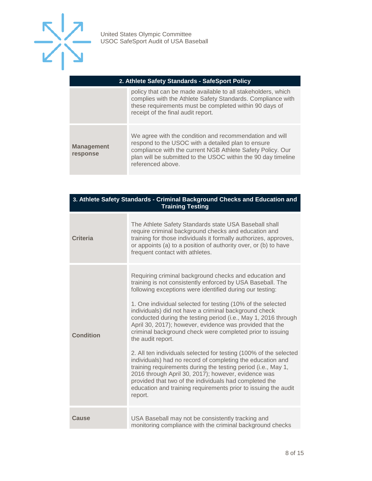

|                               | policy that can be made available to all stakeholders, which<br>complies with the Athlete Safety Standards. Compliance with<br>these requirements must be completed within 90 days of<br>receipt of the final audit report.                                       |
|-------------------------------|-------------------------------------------------------------------------------------------------------------------------------------------------------------------------------------------------------------------------------------------------------------------|
| <b>Management</b><br>response | We agree with the condition and recommendation and will<br>respond to the USOC with a detailed plan to ensure<br>compliance with the current NGB Athlete Safety Policy. Our<br>plan will be submitted to the USOC within the 90 day timeline<br>referenced above. |

| 3. Athlete Safety Standards - Criminal Background Checks and Education and<br><b>Training Testing</b> |                                                                                                                                                                                                                                                                                                                                                                                                                                                                                                                                                                                                                                                                                                                                                                                                                                                                                                                            |
|-------------------------------------------------------------------------------------------------------|----------------------------------------------------------------------------------------------------------------------------------------------------------------------------------------------------------------------------------------------------------------------------------------------------------------------------------------------------------------------------------------------------------------------------------------------------------------------------------------------------------------------------------------------------------------------------------------------------------------------------------------------------------------------------------------------------------------------------------------------------------------------------------------------------------------------------------------------------------------------------------------------------------------------------|
| <b>Criteria</b>                                                                                       | The Athlete Safety Standards state USA Baseball shall<br>require criminal background checks and education and<br>training for those individuals it formally authorizes, approves,<br>or appoints (a) to a position of authority over, or (b) to have<br>frequent contact with athletes.                                                                                                                                                                                                                                                                                                                                                                                                                                                                                                                                                                                                                                    |
| <b>Condition</b>                                                                                      | Requiring criminal background checks and education and<br>training is not consistently enforced by USA Baseball. The<br>following exceptions were identified during our testing:<br>1. One individual selected for testing (10% of the selected<br>individuals) did not have a criminal background check<br>conducted during the testing period (i.e., May 1, 2016 through<br>April 30, 2017); however, evidence was provided that the<br>criminal background check were completed prior to issuing<br>the audit report.<br>2. All ten individuals selected for testing (100% of the selected<br>individuals) had no record of completing the education and<br>training requirements during the testing period (i.e., May 1,<br>2016 through April 30, 2017); however, evidence was<br>provided that two of the individuals had completed the<br>education and training requirements prior to issuing the audit<br>report. |
| Cause                                                                                                 | USA Baseball may not be consistently tracking and<br>monitoring compliance with the criminal background checks                                                                                                                                                                                                                                                                                                                                                                                                                                                                                                                                                                                                                                                                                                                                                                                                             |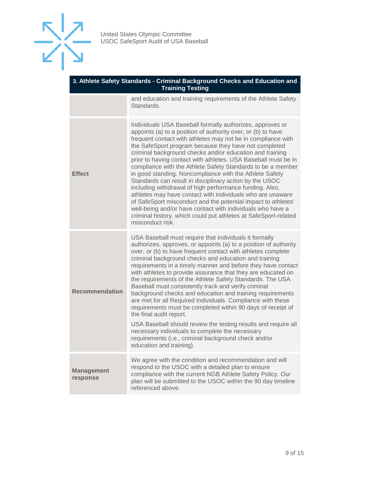

| 3. Athlete Safety Standards - Criminal Background Checks and Education and |
|----------------------------------------------------------------------------|
| Training Testing                                                           |

and education and training requirements of the Athlete Safety Standards.

| <b>Effect</b>                 | Individuals USA Baseball formally authorizes, approves or<br>appoints (a) to a position of authority over, or (b) to have<br>frequent contact with athletes may not be in compliance with<br>the SafeSport program because they have not completed<br>criminal background checks and/or education and training<br>prior to having contact with athletes. USA Baseball must be in<br>compliance with the Athlete Safety Standards to be a member<br>in good standing. Noncompliance with the Athlete Safety<br>Standards can result in disciplinary action by the USOC<br>including withdrawal of high performance funding. Also,<br>athletes may have contact with individuals who are unaware<br>of SafeSport misconduct and the potential impact to athletes'<br>well-being and/or have contact with individuals who have a<br>criminal history, which could put athletes at SafeSport-related<br>misconduct risk. |
|-------------------------------|----------------------------------------------------------------------------------------------------------------------------------------------------------------------------------------------------------------------------------------------------------------------------------------------------------------------------------------------------------------------------------------------------------------------------------------------------------------------------------------------------------------------------------------------------------------------------------------------------------------------------------------------------------------------------------------------------------------------------------------------------------------------------------------------------------------------------------------------------------------------------------------------------------------------|
| <b>Recommendation</b>         | USA Baseball must require that individuals it formally<br>authorizes, approves, or appoints (a) to a position of authority<br>over, or (b) to have frequent contact with athletes complete<br>criminal background checks and education and training<br>requirements in a timely manner and before they have contact<br>with athletes to provide assurance that they are educated on<br>the requirements of the Athlete Safety Standards. The USA<br>Baseball must consistently track and verify criminal<br>background checks and education and training requirements<br>are met for all Required Individuals. Compliance with these<br>requirements must be completed within 90 days of receipt of<br>the final audit report.<br>USA Baseball should review the testing results and require all<br>necessary individuals to complete the necessary                                                                  |
|                               | requirements (i.e., criminal background check and/or<br>education and training).                                                                                                                                                                                                                                                                                                                                                                                                                                                                                                                                                                                                                                                                                                                                                                                                                                     |
| <b>Management</b><br>response | We agree with the condition and recommendation and will<br>respond to the USOC with a detailed plan to ensure<br>compliance with the current NGB Athlete Safety Policy. Our<br>plan will be submitted to the USOC within the 90 day timeline<br>referenced above.                                                                                                                                                                                                                                                                                                                                                                                                                                                                                                                                                                                                                                                    |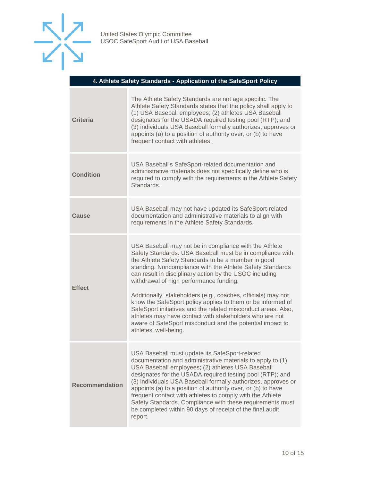

#### **4. Athlete Safety Standards - Application of the SafeSport Policy**

| <b>Criteria</b>       | The Athlete Safety Standards are not age specific. The<br>Athlete Safety Standards states that the policy shall apply to<br>(1) USA Baseball employees; (2) athletes USA Baseball<br>designates for the USADA required testing pool (RTP); and<br>(3) individuals USA Baseball formally authorizes, approves or<br>appoints (a) to a position of authority over, or (b) to have<br>frequent contact with athletes.                                                                                                                                                                                                                                                                              |
|-----------------------|-------------------------------------------------------------------------------------------------------------------------------------------------------------------------------------------------------------------------------------------------------------------------------------------------------------------------------------------------------------------------------------------------------------------------------------------------------------------------------------------------------------------------------------------------------------------------------------------------------------------------------------------------------------------------------------------------|
| <b>Condition</b>      | USA Baseball's SafeSport-related documentation and<br>administrative materials does not specifically define who is<br>required to comply with the requirements in the Athlete Safety<br>Standards.                                                                                                                                                                                                                                                                                                                                                                                                                                                                                              |
| <b>Cause</b>          | USA Baseball may not have updated its SafeSport-related<br>documentation and administrative materials to align with<br>requirements in the Athlete Safety Standards.                                                                                                                                                                                                                                                                                                                                                                                                                                                                                                                            |
| <b>Effect</b>         | USA Baseball may not be in compliance with the Athlete<br>Safety Standards. USA Baseball must be in compliance with<br>the Athlete Safety Standards to be a member in good<br>standing. Noncompliance with the Athlete Safety Standards<br>can result in disciplinary action by the USOC including<br>withdrawal of high performance funding.<br>Additionally, stakeholders (e.g., coaches, officials) may not<br>know the SafeSport policy applies to them or be informed of<br>SafeSport initiatives and the related misconduct areas. Also,<br>athletes may have contact with stakeholders who are not<br>aware of SafeSport misconduct and the potential impact to<br>athletes' well-being. |
| <b>Recommendation</b> | USA Baseball must update its SafeSport-related<br>documentation and administrative materials to apply to (1)<br>USA Baseball employees; (2) athletes USA Baseball<br>designates for the USADA required testing pool (RTP); and<br>(3) individuals USA Baseball formally authorizes, approves or<br>appoints (a) to a position of authority over, or (b) to have<br>frequent contact with athletes to comply with the Athlete<br>Safety Standards. Compliance with these requirements must<br>be completed within 90 days of receipt of the final audit<br>report.                                                                                                                               |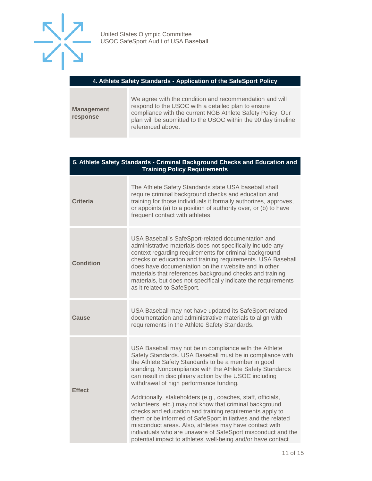

#### **4. Athlete Safety Standards - Application of the SafeSport Policy**

**Management response** We agree with the condition and recommendation and will respond to the USOC with a detailed plan to ensure compliance with the current NGB Athlete Safety Policy. Our plan will be submitted to the USOC within the 90 day timeline referenced above.

#### **5. Athlete Safety Standards - Criminal Background Checks and Education and Training Policy Requirements**

| <b>Criteria</b>  | The Athlete Safety Standards state USA baseball shall<br>require criminal background checks and education and<br>training for those individuals it formally authorizes, approves,<br>or appoints (a) to a position of authority over, or (b) to have<br>frequent contact with athletes.                                                                                                                                                                         |
|------------------|-----------------------------------------------------------------------------------------------------------------------------------------------------------------------------------------------------------------------------------------------------------------------------------------------------------------------------------------------------------------------------------------------------------------------------------------------------------------|
| <b>Condition</b> | USA Baseball's SafeSport-related documentation and<br>administrative materials does not specifically include any<br>context regarding requirements for criminal background<br>checks or education and training requirements. USA Baseball<br>does have documentation on their website and in other<br>materials that references background checks and training<br>materials, but does not specifically indicate the requirements<br>as it related to SafeSport. |
| Cause            | USA Baseball may not have updated its SafeSport-related<br>documentation and administrative materials to align with<br>requirements in the Athlete Safety Standards.                                                                                                                                                                                                                                                                                            |
| <b>Effect</b>    | USA Baseball may not be in compliance with the Athlete<br>Safety Standards. USA Baseball must be in compliance with<br>the Athlete Safety Standards to be a member in good<br>standing. Noncompliance with the Athlete Safety Standards<br>can result in disciplinary action by the USOC including<br>withdrawal of high performance funding.                                                                                                                   |
|                  | Additionally, stakeholders (e.g., coaches, staff, officials,<br>volunteers, etc.) may not know that criminal background<br>checks and education and training requirements apply to<br>them or be informed of SafeSport initiatives and the related<br>misconduct areas. Also, athletes may have contact with<br>individuals who are unaware of SafeSport misconduct and the<br>potential impact to athletes' well-being and/or have contact                     |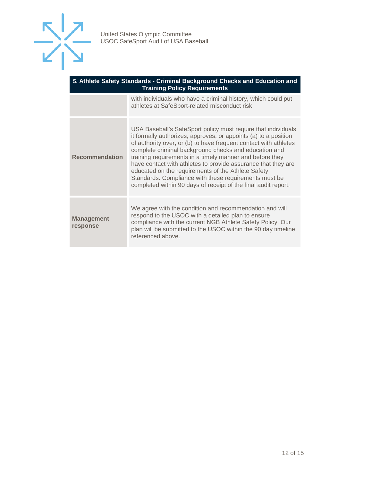

| 5. Athlete Safety Standards - Criminal Background Checks and Education and<br><b>Training Policy Requirements</b> |                                                                                                                                                                                                                                                                                                                                                                                                                                                                                                                                                                             |
|-------------------------------------------------------------------------------------------------------------------|-----------------------------------------------------------------------------------------------------------------------------------------------------------------------------------------------------------------------------------------------------------------------------------------------------------------------------------------------------------------------------------------------------------------------------------------------------------------------------------------------------------------------------------------------------------------------------|
|                                                                                                                   | with individuals who have a criminal history, which could put<br>athletes at SafeSport-related misconduct risk.                                                                                                                                                                                                                                                                                                                                                                                                                                                             |
| <b>Recommendation</b>                                                                                             | USA Baseball's SafeSport policy must require that individuals<br>it formally authorizes, approves, or appoints (a) to a position<br>of authority over, or (b) to have frequent contact with athletes<br>complete criminal background checks and education and<br>training requirements in a timely manner and before they<br>have contact with athletes to provide assurance that they are<br>educated on the requirements of the Athlete Safety<br>Standards. Compliance with these requirements must be<br>completed within 90 days of receipt of the final audit report. |
| <b>Management</b><br>response                                                                                     | We agree with the condition and recommendation and will<br>respond to the USOC with a detailed plan to ensure<br>compliance with the current NGB Athlete Safety Policy. Our<br>plan will be submitted to the USOC within the 90 day timeline<br>referenced above.                                                                                                                                                                                                                                                                                                           |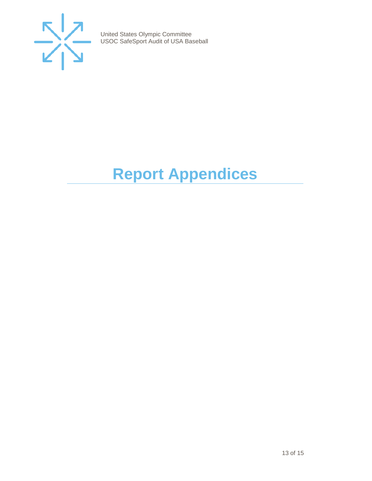

# <span id="page-12-0"></span>**Report Appendices**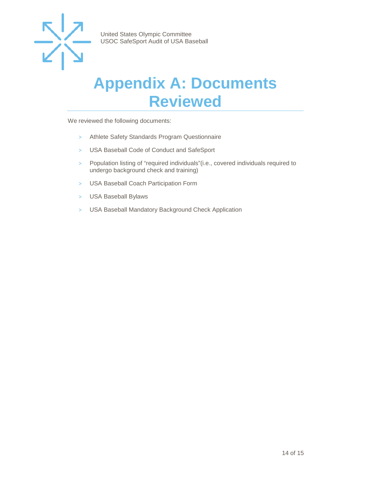

### <span id="page-13-0"></span>**Appendix A: Documents Reviewed**

We reviewed the following documents:

- > Athlete Safety Standards Program Questionnaire
- > USA Baseball Code of Conduct and SafeSport
- > Population listing of "required individuals"(i.e., covered individuals required to undergo background check and training)
- > USA Baseball Coach Participation Form
- > USA Baseball Bylaws
- > USA Baseball Mandatory Background Check Application